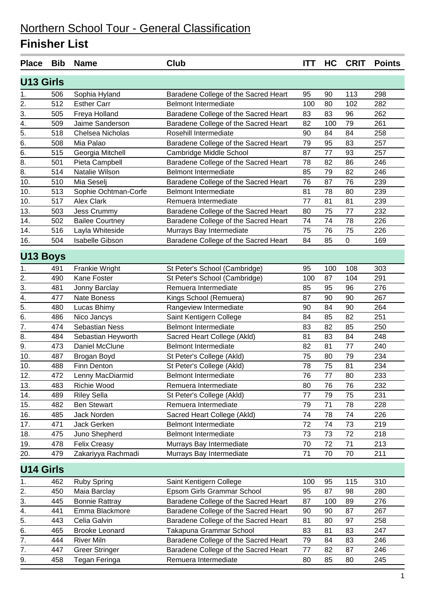| <b>Place</b>     | <b>Bib</b> | <b>Name</b>            | <b>Club</b>                          | <b>ITT</b> | HC  | <b>CRIT</b>      | <b>Points</b> |
|------------------|------------|------------------------|--------------------------------------|------------|-----|------------------|---------------|
| <b>U13 Girls</b> |            |                        |                                      |            |     |                  |               |
| 1.               | 506        | Sophia Hyland          | Baradene College of the Sacred Heart | 95         | 90  | 113              | 298           |
| 2.               | 512        | <b>Esther Carr</b>     | <b>Belmont Intermediate</b>          | 100        | 80  | 102              | 282           |
| 3.               | 505        | Freya Holland          | Baradene College of the Sacred Heart | 83         | 83  | 96               | 262           |
| 4.               | 509        | Jaime Sanderson        | Baradene College of the Sacred Heart | 82         | 100 | 79               | 261           |
| $\overline{5}$ . | 518        | Chelsea Nicholas       | Rosehill Intermediate                | 90         | 84  | 84               | 258           |
| 6.               | 508        | Mia Palao              | Baradene College of the Sacred Heart | 79         | 95  | 83               | 257           |
| 6.               | 515        | Georgia Mitchell       | Cambridge Middle School              | 87         | 77  | 93               | 257           |
| 8.               | 501        | Pieta Campbell         | Baradene College of the Sacred Heart | 78         | 82  | 86               | 246           |
| 8.               | 514        | Natalie Wilson         | <b>Belmont Intermediate</b>          | 85         | 79  | 82               | 246           |
| 10.              | 510        | Mia Seselj             | Baradene College of the Sacred Heart | 76         | 87  | 76               | 239           |
| 10.              | 513        | Sophie Ochtman-Corfe   | <b>Belmont Intermediate</b>          | 81         | 78  | 80               | 239           |
| 10.              | 517        | <b>Alex Clark</b>      | Remuera Intermediate                 | 77         | 81  | 81               | 239           |
| 13.              | 503        | Jess Crummy            | Baradene College of the Sacred Heart | 80         | 75  | 77               | 232           |
| 14.              | 502        | <b>Bailee Courtney</b> | Baradene College of the Sacred Heart | 74         | 74  | 78               | 226           |
| 14.              | 516        | Layla Whiteside        | Murrays Bay Intermediate             | 75         | 76  | 75               | 226           |
| 16.              | 504        | Isabelle Gibson        | Baradene College of the Sacred Heart | 84         | 85  | $\boldsymbol{0}$ | 169           |
| <b>U13 Boys</b>  |            |                        |                                      |            |     |                  |               |
| 1.               | 491        | Frankie Wright         | St Peter's School (Cambridge)        | 95         | 100 | 108              | 303           |
| 2.               | 490        | Kane Foster            | St Peter's School (Cambridge)        | 100        | 87  | 104              | 291           |
| 3.               | 481        | Jonny Barclay          | Remuera Intermediate                 | 85         | 95  | 96               | 276           |
| 4.               | 477        | <b>Nate Boness</b>     | Kings School (Remuera)               | 87         | 90  | 90               | 267           |
| $\overline{5}$ . | 480        | Lucas Bhimy            | Rangeview Intermediate               | 90         | 84  | 90               | 264           |
| 6.               | 486        | Nico Jancys            | Saint Kentigern College              | 84         | 85  | 82               | 251           |
| $\overline{7}$ . | 474        | <b>Sebastian Ness</b>  | <b>Belmont Intermediate</b>          | 83         | 82  | 85               | 250           |
| 8.               | 484        | Sebastian Heyworth     | Sacred Heart College (Akld)          | 81         | 83  | 84               | 248           |
| 9.               | 473        | Daniel McClune         | <b>Belmont Intermediate</b>          | 82         | 81  | 77               | 240           |
| 10.              | 487        | Brogan Boyd            | St Peter's College (Akld)            | 75         | 80  | 79               | 234           |
| 10.              | 488        | Finn Denton            | St Peter's College (Akld)            | 78         | 75  | 81               | 234           |
| 12.              | 472        | Lenny MacDiarmid       | <b>Belmont Intermediate</b>          | 76         | 77  | 80               | 233           |
| 13.              | 483        | Richie Wood            | Remuera Intermediate                 | 80         | 76  | 76               | 232           |
| 14.              | 489        | <b>Riley Sella</b>     | St Peter's College (Akld)            | 77         | 79  | 75               | 231           |
| 15.              | 482        | <b>Ben Stewart</b>     | Remuera Intermediate                 | 79         | 71  | 78               | 228           |
| 16.              | 485        | Jack Norden            | Sacred Heart College (Akld)          | 74         | 78  | 74               | 226           |
| 17.              | 471        | Jack Gerken            | <b>Belmont Intermediate</b>          | 72         | 74  | 73               | 219           |
| 18.              | 475        | Juno Shepherd          | <b>Belmont Intermediate</b>          | 73         | 73  | 72               | 218           |
| 19.              | 478        | <b>Felix Creasy</b>    | Murrays Bay Intermediate             | 70         | 72  | 71               | 213           |
| 20.              | 479        | Zakariyya Rachmadi     | Murrays Bay Intermediate             | 71         | 70  | 70               | 211           |
| <b>U14 Girls</b> |            |                        |                                      |            |     |                  |               |
| 1.               | 462        | <b>Ruby Spring</b>     | Saint Kentigern College              | 100        | 95  | 115              | 310           |
| $\overline{2}$ . | 450        | Maia Barclay           | Epsom Girls Grammar School           | 95         | 87  | 98               | 280           |
| 3.               | 445        | <b>Bonnie Rattray</b>  | Baradene College of the Sacred Heart | 87         | 100 | 89               | 276           |
| 4.               | 441        | Emma Blackmore         | Baradene College of the Sacred Heart | 90         | 90  | 87               | 267           |
| 5.               | 443        | Celia Galvin           | Baradene College of the Sacred Heart | 81         | 80  | 97               | 258           |
| 6.               | 465        | <b>Brooke Leonard</b>  | Takapuna Grammar School              | 83         | 81  | 83               | 247           |
| 7.               | 444        | <b>River Miln</b>      | Baradene College of the Sacred Heart | 79         | 84  | 83               | 246           |
| 7.               | 447        | <b>Greer Stringer</b>  | Baradene College of the Sacred Heart | 77         | 82  | 87               | 246           |
| 9.               | 458        | Tegan Feringa          | Remuera Intermediate                 | 80         | 85  | 80               | 245           |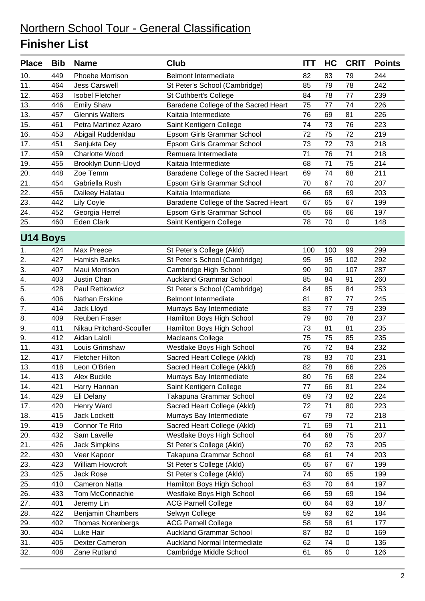| <b>Place</b>     | <b>Bib</b> | <b>Name</b>              | Club                                 | <b>ITT</b> | HC  | <b>CRIT</b> | <b>Points</b> |
|------------------|------------|--------------------------|--------------------------------------|------------|-----|-------------|---------------|
| 10.              | 449        | Phoebe Morrison          | <b>Belmont Intermediate</b>          | 82         | 83  | 79          | 244           |
| 11.              | 464        | <b>Jess Carswell</b>     | St Peter's School (Cambridge)        | 85         | 79  | 78          | 242           |
| 12.              | 463        | <b>Isobel Fletcher</b>   | St Cuthbert's College                | 84         | 78  | 77          | 239           |
| 13.              | 446        | <b>Emily Shaw</b>        | Baradene College of the Sacred Heart | 75         | 77  | 74          | 226           |
| 13.              | 457        | <b>Glennis Walters</b>   | Kaitaia Intermediate                 | 76         | 69  | 81          | 226           |
| 15.              | 461        | Petra Martinez Azaro     | Saint Kentigern College              | 74         | 73  | 76          | 223           |
| 16.              | 453        | Abigail Ruddenklau       | Epsom Girls Grammar School           | 72         | 75  | 72          | 219           |
| 17.              | 451        | Sanjukta Dey             | Epsom Girls Grammar School           | 73         | 72  | 73          | 218           |
| 17.              | 459        | <b>Charlotte Wood</b>    | Remuera Intermediate                 | 71         | 76  | 71          | 218           |
| 19.              | 455        | Brooklyn Dunn-Lloyd      | Kaitaia Intermediate                 | 68         | 71  | 75          | 214           |
| 20.              | 448        | Zoe Temm                 | Baradene College of the Sacred Heart | 69         | 74  | 68          | 211           |
| 21.              | 454        | Gabriella Rush           | Epsom Girls Grammar School           | 70         | 67  | 70          | 207           |
| 22.              | 456        | Daileey Halatau          | Kaitaia Intermediate                 | 66         | 68  | 69          | 203           |
| 23.              | 442        | Lily Coyle               | Baradene College of the Sacred Heart | 67         | 65  | 67          | 199           |
| 24.              | 452        | Georgia Herrel           | Epsom Girls Grammar School           | 65         | 66  | 66          | 197           |
| 25.              | 460        | <b>Eden Clark</b>        | Saint Kentigern College              | 78         | 70  | 0           | 148           |
| <b>U14 Boys</b>  |            |                          |                                      |            |     |             |               |
| 1.               | 424        | Max Preece               | St Peter's College (Akld)            | 100        | 100 | 99          | 299           |
| 2.               | 427        | <b>Hamish Banks</b>      | St Peter's School (Cambridge)        | 95         | 95  | 102         | 292           |
| $\overline{3}$ . | 407        | Maui Morrison            | Cambridge High School                | 90         | 90  | 107         | 287           |
| 4.               | 403        | Justin Chan              | <b>Auckland Grammar School</b>       | 85         | 84  | 91          | 260           |
| $\overline{5}$ . | 428        | Paul Rettkowicz          | St Peter's School (Cambridge)        | 84         | 85  | 84          | 253           |
| 6.               | 406        | Nathan Erskine           | <b>Belmont Intermediate</b>          | 81         | 87  | 77          | 245           |
| 7.               | 414        | Jack Lloyd               | Murrays Bay Intermediate             | 83         | 77  | 79          | 239           |
| 8.               | 409        | <b>Reuben Fraser</b>     | Hamilton Boys High School            | 79         | 80  | 78          | 237           |
| 9.               | 411        | Nikau Pritchard-Scouller | Hamilton Boys High School            | 73         | 81  | 81          | 235           |
| 9.               | 412        | Aidan Laloli             | Macleans College                     | 75         | 75  | 85          | 235           |
| 11.              | 431        | Louis Grimshaw           | Westlake Boys High School            | 76         | 72  | 84          | 232           |
| 12.              | 417        | <b>Fletcher Hilton</b>   | Sacred Heart College (Akld)          | 78         | 83  | 70          | 231           |
| 13.              | 418        | Leon O'Brien             | Sacred Heart College (Akld)          | 82         | 78  | 66          | 226           |
| 14.              | 413        | Alex Buckle              | Murrays Bay Intermediate             | 80         | 76  | 68          | 224           |
| 14.              | 421        | Harry Hannan             | Saint Kentigern College              | 77         | 66  | 81          | 224           |
| 14.              | 429        | Eli Delany               | Takapuna Grammar School              | 69         | 73  | 82          | 224           |
| 17.              | 420        | Henry Ward               | Sacred Heart College (Akld)          | 72         | 71  | 80          | 223           |
| 18.              | 415        | Jack Lockett             | Murrays Bay Intermediate             | 67         | 79  | 72          | 218           |
| 19.              | 419        | Connor Te Rito           | Sacred Heart College (Akld)          | 71         | 69  | 71          | 211           |
| 20.              | 432        | Sam Lavelle              | Westlake Boys High School            | 64         | 68  | 75          | 207           |
| 21.              | 426        | <b>Jack Simpkins</b>     | St Peter's College (Akld)            | 70         | 62  | 73          | 205           |
| 22.              | 430        | Veer Kapoor              | Takapuna Grammar School              | 68         | 61  | 74          | 203           |
| 23.              | 423        | William Howcroft         | St Peter's College (Akld)            | 65         | 67  | 67          | 199           |
| 23.              | 425        | Jack Rose                | St Peter's College (Akld)            | 74         | 60  | 65          | 199           |
| 25.              | 410        | <b>Cameron Natta</b>     | Hamilton Boys High School            | 63         | 70  | 64          | 197           |
| 26.              | 433        | Tom McConnachie          | Westlake Boys High School            | 66         | 59  | 69          | 194           |
| 27.              | 401        | Jeremy Lin               | <b>ACG Parnell College</b>           | 60         | 64  | 63          | 187           |
| 28.              | 422        | <b>Benjamin Chambers</b> | Selwyn College                       | 59         | 63  | 62          | 184           |
| 29.              | 402        | <b>Thomas Norenbergs</b> | <b>ACG Parnell College</b>           | 58         | 58  | 61          | 177           |
| 30.              | 404        | Luke Hair                | <b>Auckland Grammar School</b>       | 87         | 82  | $\mathbf 0$ | 169           |
| 31.              | 405        | Dexter Cameron           | <b>Auckland Normal Intermediate</b>  | 62         | 74  | $\mathsf 0$ | 136           |
| 32.              | 408        | Zane Rutland             | Cambridge Middle School              | 61         | 65  | $\pmb{0}$   | 126           |
|                  |            |                          |                                      |            |     |             |               |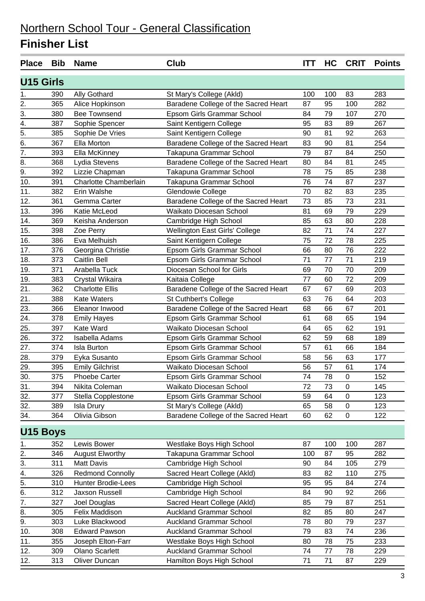| <b>Place</b>     | <b>Bib</b> | <b>Name</b>               | <b>Club</b>                          | <b>ITT</b> | HC  | <b>CRIT</b>      | <b>Points</b> |
|------------------|------------|---------------------------|--------------------------------------|------------|-----|------------------|---------------|
| <b>U15 Girls</b> |            |                           |                                      |            |     |                  |               |
| 1.               | 390        | <b>Ally Gothard</b>       | St Mary's College (Akld)             | 100        | 100 | 83               | 283           |
| 2.               | 365        | Alice Hopkinson           | Baradene College of the Sacred Heart | 87         | 95  | 100              | 282           |
| 3.               | 380        | <b>Bee Townsend</b>       | Epsom Girls Grammar School           | 84         | 79  | 107              | 270           |
| $\overline{4}$ . | 387        | Sophie Spencer            | Saint Kentigern College              | 95         | 83  | 89               | 267           |
| 5.               | 385        | Sophie De Vries           | Saint Kentigern College              | 90         | 81  | 92               | 263           |
| 6.               | 367        | Ella Morton               | Baradene College of the Sacred Heart | 83         | 90  | 81               | 254           |
| 7.               | 393        | Ella McKinney             | Takapuna Grammar School              | 79         | 87  | 84               | 250           |
| 8.               | 368        | Lydia Stevens             | Baradene College of the Sacred Heart | 80         | 84  | 81               | 245           |
| 9.               | 392        | Lizzie Chapman            | Takapuna Grammar School              | 78         | 75  | 85               | 238           |
| 10.              | 391        | Charlotte Chamberlain     | Takapuna Grammar School              | 76         | 74  | 87               | 237           |
| 11.              | 382        | Erin Walshe               | Glendowie College                    | 70         | 82  | 83               | 235           |
| 12.              | 361        | Gemma Carter              | Baradene College of the Sacred Heart | 73         | 85  | 73               | 231           |
| 13.              | 396        | Katie McLeod              | Waikato Diocesan School              | 81         | 69  | 79               | 229           |
| 14.              | 369        | Keisha Anderson           | Cambridge High School                | 85         | 63  | 80               | 228           |
| 15.              | 398        | Zoe Perry                 | Wellington East Girls' College       | 82         | 71  | 74               | 227           |
| 16.              | 386        | Eva Melhuish              | Saint Kentigern College              | 75         | 72  | 78               | 225           |
| 17.              | 376        | Georgina Christie         | Epsom Girls Grammar School           | 66         | 80  | 76               | 222           |
| 18.              | 373        | <b>Caitlin Bell</b>       | Epsom Girls Grammar School           | 71         | 77  | 71               | 219           |
| 19.              | 371        | Arabella Tuck             | Diocesan School for Girls            | 69         | 70  | 70               | 209           |
| 19.              | 383        | Crystal Wikaira           | Kaitaia College                      | 77         | 60  | 72               | 209           |
| 21.              | 362        | <b>Charlotte Ellis</b>    | Baradene College of the Sacred Heart | 67         | 67  | 69               | 203           |
| 21.              | 388        | <b>Kate Waters</b>        | St Cuthbert's College                | 63         | 76  | 64               | 203           |
| 23.              | 366        | Eleanor Inwood            | Baradene College of the Sacred Heart | 68         | 66  | 67               | 201           |
| 24.              | 378        | <b>Emily Hayes</b>        | Epsom Girls Grammar School           | 61         | 68  | 65               | 194           |
| 25.              | 397        | Kate Ward                 | Waikato Diocesan School              | 64         | 65  | 62               | 191           |
| 26.              | 372        | <b>Isabella Adams</b>     | Epsom Girls Grammar School           | 62         | 59  | 68               | 189           |
| 27.              | 374        | <b>Isla Burton</b>        | Epsom Girls Grammar School           | 57         | 61  | 66               | 184           |
| 28.              | 379        | Eyka Susanto              | Epsom Girls Grammar School           | 58         | 56  | 63               | 177           |
| 29.              | 395        | <b>Emily Gilchrist</b>    | Waikato Diocesan School              | 56         | 57  | 61               | 174           |
| 30.              | 375        | <b>Phoebe Carter</b>      | Epsom Girls Grammar School           | 74         | 78  | $\boldsymbol{0}$ | 152           |
| 31.              | 394        | Nikita Coleman            | Waikato Diocesan School              | 72         | 73  | 0                | 145           |
| 32.              | 377        | Stella Copplestone        | Epsom Girls Grammar School           | 59         | 64  | 0                | 123           |
| 32.              | 389        | Isla Drury                | St Mary's College (Akld)             | 65         | 58  | $\,0\,$          | 123           |
| 34.              | 364        | Olivia Gibson             | Baradene College of the Sacred Heart | 60         | 62  | 0                | 122           |
| <b>U15 Boys</b>  |            |                           |                                      |            |     |                  |               |
| 1.               | 352        | Lewis Bower               | Westlake Boys High School            | 87         | 100 | 100              | 287           |
| 2.               | 346        | <b>August Elworthy</b>    | Takapuna Grammar School              | 100        | 87  | 95               | 282           |
| 3.               | 311        | <b>Matt Davis</b>         | Cambridge High School                | 90         | 84  | 105              | 279           |
| 4.               | 326        | <b>Redmond Connolly</b>   | Sacred Heart College (Akld)          | 83         | 82  | 110              | 275           |
| 5.               | 310        | <b>Hunter Brodie-Lees</b> | Cambridge High School                | 95         | 95  | 84               | 274           |
| 6.               | 312        | Jaxson Russell            | Cambridge High School                | 84         | 90  | 92               | 266           |
| 7.               | 327        | Joel Douglas              | Sacred Heart College (Akld)          | 85         | 79  | 87               | 251           |
| 8.               | 305        | Felix Maddison            | <b>Auckland Grammar School</b>       | 82         | 85  | 80               | 247           |
| 9.               | 303        | Luke Blackwood            | <b>Auckland Grammar School</b>       | 78         | 80  | 79               | 237           |
| 10.              | 308        | <b>Edward Pawson</b>      | <b>Auckland Grammar School</b>       | 79         | 83  | 74               | 236           |
| 11.              | 355        | Joseph Elton-Farr         | Westlake Boys High School            | 80         | 78  | 75               | 233           |
| 12.              | 309        | Olano Scarlett            | <b>Auckland Grammar School</b>       | 74         | 77  | 78               | 229           |
| 12.              | 313        | Oliver Duncan             | Hamilton Boys High School            | 71         | 71  | 87               | 229           |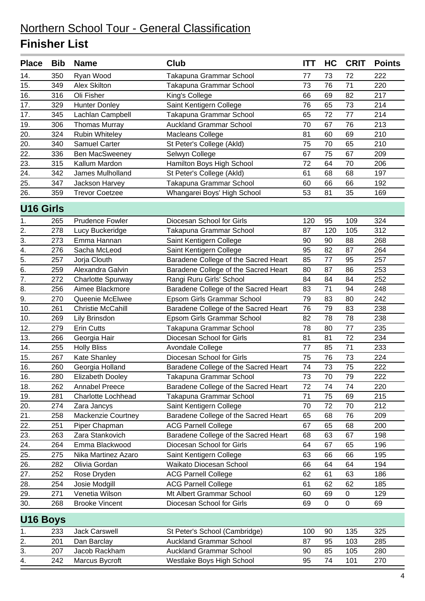| <b>Place</b>     | <b>Bib</b> | <b>Name</b>                         | <b>Club</b>                                                     | <b>ITT</b> | HC       | <b>CRIT</b> | <b>Points</b> |
|------------------|------------|-------------------------------------|-----------------------------------------------------------------|------------|----------|-------------|---------------|
| 14.              | 350        | Ryan Wood                           | Takapuna Grammar School                                         | 77         | 73       | 72          | 222           |
| 15.              | 349        | <b>Alex Skilton</b>                 | Takapuna Grammar School                                         | 73         | 76       | 71          | 220           |
| 16.              | 316        | Oli Fisher                          | King's College                                                  | 66         | 69       | 82          | 217           |
| 17.              | 329        | <b>Hunter Donley</b>                | Saint Kentigern College                                         | 76         | 65       | 73          | 214           |
| 17.              | 345        | Lachlan Campbell                    | Takapuna Grammar School                                         | 65         | 72       | 77          | 214           |
| 19.              | 306        | <b>Thomas Murray</b>                | <b>Auckland Grammar School</b>                                  | 70         | 67       | 76          | 213           |
| 20.              | 324        | <b>Rubin Whiteley</b>               | Macleans College                                                | 81         | 60       | 69          | 210           |
| 20.              | 340        | <b>Samuel Carter</b>                | St Peter's College (Akld)                                       | 75         | 70       | 65          | 210           |
| 22.              | 336        | Ben MacSweeney                      | Selwyn College                                                  | 67         | 75       | 67          | 209           |
| 23.              | 315        | Kallum Mardon                       | Hamilton Boys High School                                       | 72         | 64       | 70          | 206           |
| 24.              | 342        | James Mulholland                    | St Peter's College (Akld)                                       | 61         | 68       | 68          | 197           |
| 25.              | 347        | Jackson Harvey                      | Takapuna Grammar School                                         | 60         | 66       | 66          | 192           |
| 26.              | 359        | <b>Trevor Coetzee</b>               | Whangarei Boys' High School                                     | 53         | 81       | 35          | 169           |
| <b>U16 Girls</b> |            |                                     |                                                                 |            |          |             |               |
| 1.               | 265        | <b>Prudence Fowler</b>              | Diocesan School for Girls                                       | 120        | 95       | 109         | 324           |
| 2.               | 278        | Lucy Buckeridge                     | Takapuna Grammar School                                         | 87         | 120      | 105         | 312           |
| 3.               | 273        | Emma Hannan                         | Saint Kentigern College                                         | 90         | 90       | 88          | 268           |
| 4.               | 276        | Sacha McLeod                        | Saint Kentigern College                                         | 95         | 82       | 87          | 264           |
| $\overline{5}$ . | 257        | Jorja Clouth                        | Baradene College of the Sacred Heart                            | 85         | 77       | 95          | 257           |
| 6.               | 259        | Alexandra Galvin                    | Baradene College of the Sacred Heart                            | 80         | 87       | 86          | 253           |
| 7.               | 272        | <b>Charlotte Spurway</b>            | Rangi Ruru Girls' School                                        | 84         | 84       | 84          | 252           |
| 8.               | 256        | Aimee Blackmore                     | Baradene College of the Sacred Heart                            | 83         | 71       | 94          | 248           |
| 9.               | 270        | Queenie McElwee                     | Epsom Girls Grammar School                                      | 79         | 83       | 80          | 242           |
| 10.              | 261        | <b>Christie McCahill</b>            | Baradene College of the Sacred Heart                            | 76         | 79       | 83          | 238           |
| 10.              | 269        | Lily Brinsdon                       | Epsom Girls Grammar School                                      | 82         | 78       | 78          | 238           |
| 12.              | 279        | <b>Erin Cutts</b>                   | Takapuna Grammar School                                         | 78         | 80       | 77          | 235           |
| 13.              | 266        | Georgia Hair                        | Diocesan School for Girls                                       | 81         | 81       | 72          | 234           |
| 14.              | 255        | <b>Holly Bliss</b>                  | Avondale College                                                | 77         | 85       | 71          | 233           |
| 15.<br>16.       | 267<br>260 | Kate Shanley                        | Diocesan School for Girls                                       | 75<br>74   | 76<br>73 | 73<br>75    | 224<br>222    |
| 16.              | 280        | Georgia Holland<br>Elizabeth Dooley | Baradene College of the Sacred Heart<br>Takapuna Grammar School | 73         | $70\,$   | 79          | 222           |
| 18.              | 262        | <b>Annabel Preece</b>               | Baradene College of the Sacred Heart                            | 72         | 74       | 74          | 220           |
| 19.              | 281        | <b>Charlotte Lochhead</b>           | Takapuna Grammar School                                         | 71         | 75       | 69          | 215           |
| 20.              | 274        | Zara Jancys                         | Saint Kentigern College                                         | 70         | 72       | 70          | 212           |
| 21.              | 258        | Mackenzie Courtney                  | Baradene College of the Sacred Heart                            | 65         | 68       | 76          | 209           |
| 22.              | 251        | Piper Chapman                       | <b>ACG Parnell College</b>                                      | 67         | 65       | 68          | 200           |
| 23.              | 263        | Zara Stankovich                     | Baradene College of the Sacred Heart                            | 68         | 63       | 67          | 198           |
| 24.              | 264        | Emma Blackwood                      | Diocesan School for Girls                                       | 64         | 67       | 65          | 196           |
| 25.              | 275        | Nika Martinez Azaro                 | Saint Kentigern College                                         | 63         | 66       | 66          | 195           |
| 26.              | 282        | Olivia Gordan                       | Waikato Diocesan School                                         | 66         | 64       | 64          | 194           |
| 27.              | 252        | Rose Dryden                         | <b>ACG Parnell College</b>                                      | 62         | 61       | 63          | 186           |
| 28.              | 254        | Josie Modgill                       | <b>ACG Parnell College</b>                                      | 61         | 62       | 62          | 185           |
| 29.              | 271        | Venetia Wilson                      | Mt Albert Grammar School                                        | 60         | 69       | 0           | 129           |
| 30.              | 268        | <b>Brooke Vincent</b>               | Diocesan School for Girls                                       | 69         | 0        | $\pmb{0}$   | 69            |
| U16 Boys         |            |                                     |                                                                 |            |          |             |               |
| 1.               | 233        | <b>Jack Carswell</b>                | St Peter's School (Cambridge)                                   | 100        | 90       | 135         | 325           |
| 2.               | 201        | Dan Barclay                         | <b>Auckland Grammar School</b>                                  | 87         | 95       | 103         | 285           |
| 3.               | 207        | Jacob Rackham                       | <b>Auckland Grammar School</b>                                  | 90         | 85       | 105         | 280           |
| 4.               | 242        | Marcus Bycroft                      | Westlake Boys High School                                       | 95         | 74       | 101         | 270           |
|                  |            |                                     |                                                                 |            |          |             |               |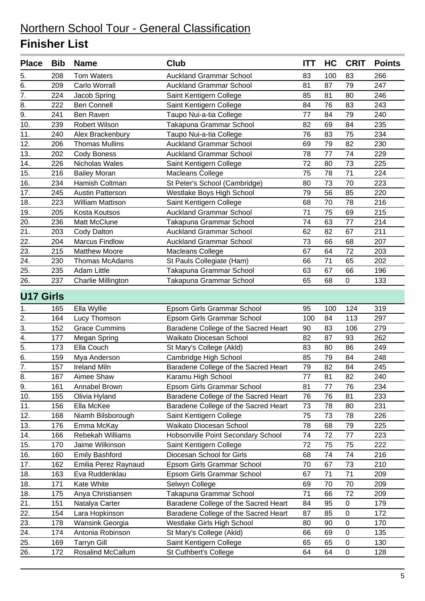| <b>Tom Waters</b><br>100<br>208<br><b>Auckland Grammar School</b><br>83<br>83<br>266<br>5.<br>6.<br>209<br>Carlo Worrall<br>81<br>87<br>79<br>247<br><b>Auckland Grammar School</b><br>$\overline{7}$ .<br>224<br>Jacob Spring<br>Saint Kentigern College<br>85<br>81<br>80<br>246<br>8.<br>222<br><b>Ben Connell</b><br>Saint Kentigern College<br>76<br>243<br>84<br>83<br>9.<br>77<br>79<br>241<br>Ben Raven<br>Taupo Nui-a-tia College<br>84<br>240<br>10.<br>239<br>Robert Wilson<br>Takapuna Grammar School<br>82<br>69<br>235<br>84<br>11.<br>76<br>83<br>75<br>234<br>240<br>Alex Brackenbury<br>Taupo Nui-a-tia College<br>12.<br>206<br><b>Thomas Mullins</b><br><b>Auckland Grammar School</b><br>79<br>82<br>230<br>69<br>13.<br>202<br><b>Auckland Grammar School</b><br>78<br>77<br>74<br>229<br><b>Cody Boness</b><br>226<br>72<br>73<br>14.<br>Nicholas Wales<br>Saint Kentigern College<br>80<br>225<br>216<br>75<br>78<br>71<br>15.<br><b>Bailey Moran</b><br>224<br><b>Macleans College</b><br>16.<br>73<br>70<br>234<br>Hamish Coltman<br>St Peter's School (Cambridge)<br>80<br>223<br>17.<br>Westlake Boys High School<br>79<br>56<br>245<br><b>Austin Patterson</b><br>85<br>220<br>18.<br>223<br>Saint Kentigern College<br>70<br>78<br>216<br><b>William Mattison</b><br>68<br>19.<br>71<br>205<br>Kosta Koutsos<br><b>Auckland Grammar School</b><br>75<br>69<br>215<br>20.<br>74<br>63<br>236<br>Matt McClune<br>Takapuna Grammar School<br>77<br>214<br>21.<br>203<br><b>Auckland Grammar School</b><br>62<br>82<br>67<br>211<br>Cody Dalton<br>22.<br>204<br><b>Marcus Findlow</b><br>73<br>207<br><b>Auckland Grammar School</b><br>66<br>68<br>67<br>23.<br>215<br><b>Matthew Moore</b><br>64<br>72<br>203<br>Macleans College<br>24.<br>230<br><b>Thomas McAdams</b><br>St Pauls Collegiate (Ham)<br>71<br>202<br>66<br>65<br><b>Adam Little</b><br>25.<br>235<br>Takapuna Grammar School<br>63<br>67<br>196<br>66<br>26.<br>237<br>Takapuna Grammar School<br>68<br>0<br>133<br>Charlie Millington<br>65<br><b>U17 Girls</b><br>124<br>319<br>165<br>Ella Wyllie<br>Epsom Girls Grammar School<br>95<br>100<br>1.<br>2.<br>164<br>84<br>113<br>Epsom Girls Grammar School<br>100<br>297<br>Lucy Thomson<br>3.<br>152<br><b>Grace Cummins</b><br>Baradene College of the Sacred Heart<br>90<br>83<br>106<br>279<br>4.<br>Waikato Diocesan School<br>82<br>262<br>177<br>Megan Spring<br>87<br>93<br>$\overline{5}$ .<br>173<br>Ella Couch<br>St Mary's College (Akld)<br>249<br>83<br>80<br>86<br>6.<br>Cambridge High School<br>85<br>248<br>159<br>79<br>84<br>Mya Anderson<br>$\overline{7}$ .<br><b>Ireland Miln</b><br>157<br>Baradene College of the Sacred Heart<br>79<br>82<br>245<br>84<br>$\overline{8}$<br>77<br>81<br>82<br>240<br>167<br>Aimee Shaw<br>Karamu High School<br>9.<br>77<br>76<br>161<br>Annabel Brown<br>Epsom Girls Grammar School<br>81<br>234<br>10.<br>155<br>Baradene College of the Sacred Heart<br>Olivia Hyland<br>76<br>76<br>81<br>233<br>Baradene College of the Sacred Heart<br>11.<br>156<br>Ella McKee<br>73<br>78<br>231<br>80<br>12.<br>168<br>75<br>73<br>Niamh Bilsborough<br>Saint Kentigern College<br>78<br>226<br>13.<br>Waikato Diocesan School<br>176<br>Emma McKay<br>78<br>68<br>79<br>225<br>14.<br>166<br>Rebekah Williams<br>Hobsonville Point Secondary School<br>74<br>72<br>77<br>223<br>75<br>15.<br>170<br>Jaime Wilkinson<br>Saint Kentigern College<br>72<br>75<br>222<br>16.<br>160<br><b>Emily Bashford</b><br>Diocesan School for Girls<br>74<br>74<br>216<br>68<br>17.<br>162<br>Emilia Perez Raynaud<br>Epsom Girls Grammar School<br>67<br>73<br>210<br>70<br>18.<br>163<br>Eva Ruddenklau<br>Epsom Girls Grammar School<br>67<br>71<br>71<br>209<br>18.<br>Selwyn College<br>171<br>Kate White<br>69<br>70<br>70<br>209<br>18.<br>Takapuna Grammar School<br>71<br>72<br>175<br>Anya Christiansen<br>66<br>209<br>21.<br>Baradene College of the Sacred Heart<br>151<br>Natalya Carter<br>95<br>84<br>0<br>179<br>22.<br>Baradene College of the Sacred Heart<br>154<br>Lara Hopkinson<br>85<br>172<br>87<br>0<br>23.<br>Wansink Georgia<br>Westlake Girls High School<br>170<br>178<br>80<br>90<br>0<br>24.<br>174<br>Antonia Robinson<br>St Mary's College (Akld)<br>0<br>135<br>66<br>69<br>25.<br><b>Tarryn Gill</b><br>Saint Kentigern College<br>65<br>$\pmb{0}$<br>130<br>169<br>65<br>Rosalind McCallum<br>26.<br>172<br>St Cuthbert's College<br>64<br>64<br>128<br>0 | <b>Place</b> | <b>Bib</b> | <b>Name</b> | <b>Club</b> | <b>ITT</b> | HC | <b>CRIT</b> | <b>Points</b> |
|--------------------------------------------------------------------------------------------------------------------------------------------------------------------------------------------------------------------------------------------------------------------------------------------------------------------------------------------------------------------------------------------------------------------------------------------------------------------------------------------------------------------------------------------------------------------------------------------------------------------------------------------------------------------------------------------------------------------------------------------------------------------------------------------------------------------------------------------------------------------------------------------------------------------------------------------------------------------------------------------------------------------------------------------------------------------------------------------------------------------------------------------------------------------------------------------------------------------------------------------------------------------------------------------------------------------------------------------------------------------------------------------------------------------------------------------------------------------------------------------------------------------------------------------------------------------------------------------------------------------------------------------------------------------------------------------------------------------------------------------------------------------------------------------------------------------------------------------------------------------------------------------------------------------------------------------------------------------------------------------------------------------------------------------------------------------------------------------------------------------------------------------------------------------------------------------------------------------------------------------------------------------------------------------------------------------------------------------------------------------------------------------------------------------------------------------------------------------------------------------------------------------------------------------------------------------------------------------------------------------------------------------------------------------------------------------------------------------------------------------------------------------------------------------------------------------------------------------------------------------------------------------------------------------------------------------------------------------------------------------------------------------------------------------------------------------------------------------------------------------------------------------------------------------------------------------------------------------------------------------------------------------------------------------------------------------------------------------------------------------------------------------------------------------------------------------------------------------------------------------------------------------------------------------------------------------------------------------------------------------------------------------------------------------------------------------------------------------------------------------------------------------------------------------------------------------------------------------------------------------------------------------------------------------------------------------------------------------------------------------------------------------------------------------------------------------------------------------------------------------------------------------------------------------------------------------------------------------------------------------------------------------------------------------------------------------------------------------------------------------------------------------------------------------------------------------------------------------------------------|--------------|------------|-------------|-------------|------------|----|-------------|---------------|
|                                                                                                                                                                                                                                                                                                                                                                                                                                                                                                                                                                                                                                                                                                                                                                                                                                                                                                                                                                                                                                                                                                                                                                                                                                                                                                                                                                                                                                                                                                                                                                                                                                                                                                                                                                                                                                                                                                                                                                                                                                                                                                                                                                                                                                                                                                                                                                                                                                                                                                                                                                                                                                                                                                                                                                                                                                                                                                                                                                                                                                                                                                                                                                                                                                                                                                                                                                                                                                                                                                                                                                                                                                                                                                                                                                                                                                                                                                                                                                                                                                                                                                                                                                                                                                                                                                                                                                                                                                                                                      |              |            |             |             |            |    |             |               |
|                                                                                                                                                                                                                                                                                                                                                                                                                                                                                                                                                                                                                                                                                                                                                                                                                                                                                                                                                                                                                                                                                                                                                                                                                                                                                                                                                                                                                                                                                                                                                                                                                                                                                                                                                                                                                                                                                                                                                                                                                                                                                                                                                                                                                                                                                                                                                                                                                                                                                                                                                                                                                                                                                                                                                                                                                                                                                                                                                                                                                                                                                                                                                                                                                                                                                                                                                                                                                                                                                                                                                                                                                                                                                                                                                                                                                                                                                                                                                                                                                                                                                                                                                                                                                                                                                                                                                                                                                                                                                      |              |            |             |             |            |    |             |               |
|                                                                                                                                                                                                                                                                                                                                                                                                                                                                                                                                                                                                                                                                                                                                                                                                                                                                                                                                                                                                                                                                                                                                                                                                                                                                                                                                                                                                                                                                                                                                                                                                                                                                                                                                                                                                                                                                                                                                                                                                                                                                                                                                                                                                                                                                                                                                                                                                                                                                                                                                                                                                                                                                                                                                                                                                                                                                                                                                                                                                                                                                                                                                                                                                                                                                                                                                                                                                                                                                                                                                                                                                                                                                                                                                                                                                                                                                                                                                                                                                                                                                                                                                                                                                                                                                                                                                                                                                                                                                                      |              |            |             |             |            |    |             |               |
|                                                                                                                                                                                                                                                                                                                                                                                                                                                                                                                                                                                                                                                                                                                                                                                                                                                                                                                                                                                                                                                                                                                                                                                                                                                                                                                                                                                                                                                                                                                                                                                                                                                                                                                                                                                                                                                                                                                                                                                                                                                                                                                                                                                                                                                                                                                                                                                                                                                                                                                                                                                                                                                                                                                                                                                                                                                                                                                                                                                                                                                                                                                                                                                                                                                                                                                                                                                                                                                                                                                                                                                                                                                                                                                                                                                                                                                                                                                                                                                                                                                                                                                                                                                                                                                                                                                                                                                                                                                                                      |              |            |             |             |            |    |             |               |
|                                                                                                                                                                                                                                                                                                                                                                                                                                                                                                                                                                                                                                                                                                                                                                                                                                                                                                                                                                                                                                                                                                                                                                                                                                                                                                                                                                                                                                                                                                                                                                                                                                                                                                                                                                                                                                                                                                                                                                                                                                                                                                                                                                                                                                                                                                                                                                                                                                                                                                                                                                                                                                                                                                                                                                                                                                                                                                                                                                                                                                                                                                                                                                                                                                                                                                                                                                                                                                                                                                                                                                                                                                                                                                                                                                                                                                                                                                                                                                                                                                                                                                                                                                                                                                                                                                                                                                                                                                                                                      |              |            |             |             |            |    |             |               |
|                                                                                                                                                                                                                                                                                                                                                                                                                                                                                                                                                                                                                                                                                                                                                                                                                                                                                                                                                                                                                                                                                                                                                                                                                                                                                                                                                                                                                                                                                                                                                                                                                                                                                                                                                                                                                                                                                                                                                                                                                                                                                                                                                                                                                                                                                                                                                                                                                                                                                                                                                                                                                                                                                                                                                                                                                                                                                                                                                                                                                                                                                                                                                                                                                                                                                                                                                                                                                                                                                                                                                                                                                                                                                                                                                                                                                                                                                                                                                                                                                                                                                                                                                                                                                                                                                                                                                                                                                                                                                      |              |            |             |             |            |    |             |               |
|                                                                                                                                                                                                                                                                                                                                                                                                                                                                                                                                                                                                                                                                                                                                                                                                                                                                                                                                                                                                                                                                                                                                                                                                                                                                                                                                                                                                                                                                                                                                                                                                                                                                                                                                                                                                                                                                                                                                                                                                                                                                                                                                                                                                                                                                                                                                                                                                                                                                                                                                                                                                                                                                                                                                                                                                                                                                                                                                                                                                                                                                                                                                                                                                                                                                                                                                                                                                                                                                                                                                                                                                                                                                                                                                                                                                                                                                                                                                                                                                                                                                                                                                                                                                                                                                                                                                                                                                                                                                                      |              |            |             |             |            |    |             |               |
|                                                                                                                                                                                                                                                                                                                                                                                                                                                                                                                                                                                                                                                                                                                                                                                                                                                                                                                                                                                                                                                                                                                                                                                                                                                                                                                                                                                                                                                                                                                                                                                                                                                                                                                                                                                                                                                                                                                                                                                                                                                                                                                                                                                                                                                                                                                                                                                                                                                                                                                                                                                                                                                                                                                                                                                                                                                                                                                                                                                                                                                                                                                                                                                                                                                                                                                                                                                                                                                                                                                                                                                                                                                                                                                                                                                                                                                                                                                                                                                                                                                                                                                                                                                                                                                                                                                                                                                                                                                                                      |              |            |             |             |            |    |             |               |
|                                                                                                                                                                                                                                                                                                                                                                                                                                                                                                                                                                                                                                                                                                                                                                                                                                                                                                                                                                                                                                                                                                                                                                                                                                                                                                                                                                                                                                                                                                                                                                                                                                                                                                                                                                                                                                                                                                                                                                                                                                                                                                                                                                                                                                                                                                                                                                                                                                                                                                                                                                                                                                                                                                                                                                                                                                                                                                                                                                                                                                                                                                                                                                                                                                                                                                                                                                                                                                                                                                                                                                                                                                                                                                                                                                                                                                                                                                                                                                                                                                                                                                                                                                                                                                                                                                                                                                                                                                                                                      |              |            |             |             |            |    |             |               |
|                                                                                                                                                                                                                                                                                                                                                                                                                                                                                                                                                                                                                                                                                                                                                                                                                                                                                                                                                                                                                                                                                                                                                                                                                                                                                                                                                                                                                                                                                                                                                                                                                                                                                                                                                                                                                                                                                                                                                                                                                                                                                                                                                                                                                                                                                                                                                                                                                                                                                                                                                                                                                                                                                                                                                                                                                                                                                                                                                                                                                                                                                                                                                                                                                                                                                                                                                                                                                                                                                                                                                                                                                                                                                                                                                                                                                                                                                                                                                                                                                                                                                                                                                                                                                                                                                                                                                                                                                                                                                      |              |            |             |             |            |    |             |               |
|                                                                                                                                                                                                                                                                                                                                                                                                                                                                                                                                                                                                                                                                                                                                                                                                                                                                                                                                                                                                                                                                                                                                                                                                                                                                                                                                                                                                                                                                                                                                                                                                                                                                                                                                                                                                                                                                                                                                                                                                                                                                                                                                                                                                                                                                                                                                                                                                                                                                                                                                                                                                                                                                                                                                                                                                                                                                                                                                                                                                                                                                                                                                                                                                                                                                                                                                                                                                                                                                                                                                                                                                                                                                                                                                                                                                                                                                                                                                                                                                                                                                                                                                                                                                                                                                                                                                                                                                                                                                                      |              |            |             |             |            |    |             |               |
|                                                                                                                                                                                                                                                                                                                                                                                                                                                                                                                                                                                                                                                                                                                                                                                                                                                                                                                                                                                                                                                                                                                                                                                                                                                                                                                                                                                                                                                                                                                                                                                                                                                                                                                                                                                                                                                                                                                                                                                                                                                                                                                                                                                                                                                                                                                                                                                                                                                                                                                                                                                                                                                                                                                                                                                                                                                                                                                                                                                                                                                                                                                                                                                                                                                                                                                                                                                                                                                                                                                                                                                                                                                                                                                                                                                                                                                                                                                                                                                                                                                                                                                                                                                                                                                                                                                                                                                                                                                                                      |              |            |             |             |            |    |             |               |
|                                                                                                                                                                                                                                                                                                                                                                                                                                                                                                                                                                                                                                                                                                                                                                                                                                                                                                                                                                                                                                                                                                                                                                                                                                                                                                                                                                                                                                                                                                                                                                                                                                                                                                                                                                                                                                                                                                                                                                                                                                                                                                                                                                                                                                                                                                                                                                                                                                                                                                                                                                                                                                                                                                                                                                                                                                                                                                                                                                                                                                                                                                                                                                                                                                                                                                                                                                                                                                                                                                                                                                                                                                                                                                                                                                                                                                                                                                                                                                                                                                                                                                                                                                                                                                                                                                                                                                                                                                                                                      |              |            |             |             |            |    |             |               |
|                                                                                                                                                                                                                                                                                                                                                                                                                                                                                                                                                                                                                                                                                                                                                                                                                                                                                                                                                                                                                                                                                                                                                                                                                                                                                                                                                                                                                                                                                                                                                                                                                                                                                                                                                                                                                                                                                                                                                                                                                                                                                                                                                                                                                                                                                                                                                                                                                                                                                                                                                                                                                                                                                                                                                                                                                                                                                                                                                                                                                                                                                                                                                                                                                                                                                                                                                                                                                                                                                                                                                                                                                                                                                                                                                                                                                                                                                                                                                                                                                                                                                                                                                                                                                                                                                                                                                                                                                                                                                      |              |            |             |             |            |    |             |               |
|                                                                                                                                                                                                                                                                                                                                                                                                                                                                                                                                                                                                                                                                                                                                                                                                                                                                                                                                                                                                                                                                                                                                                                                                                                                                                                                                                                                                                                                                                                                                                                                                                                                                                                                                                                                                                                                                                                                                                                                                                                                                                                                                                                                                                                                                                                                                                                                                                                                                                                                                                                                                                                                                                                                                                                                                                                                                                                                                                                                                                                                                                                                                                                                                                                                                                                                                                                                                                                                                                                                                                                                                                                                                                                                                                                                                                                                                                                                                                                                                                                                                                                                                                                                                                                                                                                                                                                                                                                                                                      |              |            |             |             |            |    |             |               |
|                                                                                                                                                                                                                                                                                                                                                                                                                                                                                                                                                                                                                                                                                                                                                                                                                                                                                                                                                                                                                                                                                                                                                                                                                                                                                                                                                                                                                                                                                                                                                                                                                                                                                                                                                                                                                                                                                                                                                                                                                                                                                                                                                                                                                                                                                                                                                                                                                                                                                                                                                                                                                                                                                                                                                                                                                                                                                                                                                                                                                                                                                                                                                                                                                                                                                                                                                                                                                                                                                                                                                                                                                                                                                                                                                                                                                                                                                                                                                                                                                                                                                                                                                                                                                                                                                                                                                                                                                                                                                      |              |            |             |             |            |    |             |               |
|                                                                                                                                                                                                                                                                                                                                                                                                                                                                                                                                                                                                                                                                                                                                                                                                                                                                                                                                                                                                                                                                                                                                                                                                                                                                                                                                                                                                                                                                                                                                                                                                                                                                                                                                                                                                                                                                                                                                                                                                                                                                                                                                                                                                                                                                                                                                                                                                                                                                                                                                                                                                                                                                                                                                                                                                                                                                                                                                                                                                                                                                                                                                                                                                                                                                                                                                                                                                                                                                                                                                                                                                                                                                                                                                                                                                                                                                                                                                                                                                                                                                                                                                                                                                                                                                                                                                                                                                                                                                                      |              |            |             |             |            |    |             |               |
|                                                                                                                                                                                                                                                                                                                                                                                                                                                                                                                                                                                                                                                                                                                                                                                                                                                                                                                                                                                                                                                                                                                                                                                                                                                                                                                                                                                                                                                                                                                                                                                                                                                                                                                                                                                                                                                                                                                                                                                                                                                                                                                                                                                                                                                                                                                                                                                                                                                                                                                                                                                                                                                                                                                                                                                                                                                                                                                                                                                                                                                                                                                                                                                                                                                                                                                                                                                                                                                                                                                                                                                                                                                                                                                                                                                                                                                                                                                                                                                                                                                                                                                                                                                                                                                                                                                                                                                                                                                                                      |              |            |             |             |            |    |             |               |
|                                                                                                                                                                                                                                                                                                                                                                                                                                                                                                                                                                                                                                                                                                                                                                                                                                                                                                                                                                                                                                                                                                                                                                                                                                                                                                                                                                                                                                                                                                                                                                                                                                                                                                                                                                                                                                                                                                                                                                                                                                                                                                                                                                                                                                                                                                                                                                                                                                                                                                                                                                                                                                                                                                                                                                                                                                                                                                                                                                                                                                                                                                                                                                                                                                                                                                                                                                                                                                                                                                                                                                                                                                                                                                                                                                                                                                                                                                                                                                                                                                                                                                                                                                                                                                                                                                                                                                                                                                                                                      |              |            |             |             |            |    |             |               |
|                                                                                                                                                                                                                                                                                                                                                                                                                                                                                                                                                                                                                                                                                                                                                                                                                                                                                                                                                                                                                                                                                                                                                                                                                                                                                                                                                                                                                                                                                                                                                                                                                                                                                                                                                                                                                                                                                                                                                                                                                                                                                                                                                                                                                                                                                                                                                                                                                                                                                                                                                                                                                                                                                                                                                                                                                                                                                                                                                                                                                                                                                                                                                                                                                                                                                                                                                                                                                                                                                                                                                                                                                                                                                                                                                                                                                                                                                                                                                                                                                                                                                                                                                                                                                                                                                                                                                                                                                                                                                      |              |            |             |             |            |    |             |               |
|                                                                                                                                                                                                                                                                                                                                                                                                                                                                                                                                                                                                                                                                                                                                                                                                                                                                                                                                                                                                                                                                                                                                                                                                                                                                                                                                                                                                                                                                                                                                                                                                                                                                                                                                                                                                                                                                                                                                                                                                                                                                                                                                                                                                                                                                                                                                                                                                                                                                                                                                                                                                                                                                                                                                                                                                                                                                                                                                                                                                                                                                                                                                                                                                                                                                                                                                                                                                                                                                                                                                                                                                                                                                                                                                                                                                                                                                                                                                                                                                                                                                                                                                                                                                                                                                                                                                                                                                                                                                                      |              |            |             |             |            |    |             |               |
|                                                                                                                                                                                                                                                                                                                                                                                                                                                                                                                                                                                                                                                                                                                                                                                                                                                                                                                                                                                                                                                                                                                                                                                                                                                                                                                                                                                                                                                                                                                                                                                                                                                                                                                                                                                                                                                                                                                                                                                                                                                                                                                                                                                                                                                                                                                                                                                                                                                                                                                                                                                                                                                                                                                                                                                                                                                                                                                                                                                                                                                                                                                                                                                                                                                                                                                                                                                                                                                                                                                                                                                                                                                                                                                                                                                                                                                                                                                                                                                                                                                                                                                                                                                                                                                                                                                                                                                                                                                                                      |              |            |             |             |            |    |             |               |
|                                                                                                                                                                                                                                                                                                                                                                                                                                                                                                                                                                                                                                                                                                                                                                                                                                                                                                                                                                                                                                                                                                                                                                                                                                                                                                                                                                                                                                                                                                                                                                                                                                                                                                                                                                                                                                                                                                                                                                                                                                                                                                                                                                                                                                                                                                                                                                                                                                                                                                                                                                                                                                                                                                                                                                                                                                                                                                                                                                                                                                                                                                                                                                                                                                                                                                                                                                                                                                                                                                                                                                                                                                                                                                                                                                                                                                                                                                                                                                                                                                                                                                                                                                                                                                                                                                                                                                                                                                                                                      |              |            |             |             |            |    |             |               |
|                                                                                                                                                                                                                                                                                                                                                                                                                                                                                                                                                                                                                                                                                                                                                                                                                                                                                                                                                                                                                                                                                                                                                                                                                                                                                                                                                                                                                                                                                                                                                                                                                                                                                                                                                                                                                                                                                                                                                                                                                                                                                                                                                                                                                                                                                                                                                                                                                                                                                                                                                                                                                                                                                                                                                                                                                                                                                                                                                                                                                                                                                                                                                                                                                                                                                                                                                                                                                                                                                                                                                                                                                                                                                                                                                                                                                                                                                                                                                                                                                                                                                                                                                                                                                                                                                                                                                                                                                                                                                      |              |            |             |             |            |    |             |               |
|                                                                                                                                                                                                                                                                                                                                                                                                                                                                                                                                                                                                                                                                                                                                                                                                                                                                                                                                                                                                                                                                                                                                                                                                                                                                                                                                                                                                                                                                                                                                                                                                                                                                                                                                                                                                                                                                                                                                                                                                                                                                                                                                                                                                                                                                                                                                                                                                                                                                                                                                                                                                                                                                                                                                                                                                                                                                                                                                                                                                                                                                                                                                                                                                                                                                                                                                                                                                                                                                                                                                                                                                                                                                                                                                                                                                                                                                                                                                                                                                                                                                                                                                                                                                                                                                                                                                                                                                                                                                                      |              |            |             |             |            |    |             |               |
|                                                                                                                                                                                                                                                                                                                                                                                                                                                                                                                                                                                                                                                                                                                                                                                                                                                                                                                                                                                                                                                                                                                                                                                                                                                                                                                                                                                                                                                                                                                                                                                                                                                                                                                                                                                                                                                                                                                                                                                                                                                                                                                                                                                                                                                                                                                                                                                                                                                                                                                                                                                                                                                                                                                                                                                                                                                                                                                                                                                                                                                                                                                                                                                                                                                                                                                                                                                                                                                                                                                                                                                                                                                                                                                                                                                                                                                                                                                                                                                                                                                                                                                                                                                                                                                                                                                                                                                                                                                                                      |              |            |             |             |            |    |             |               |
|                                                                                                                                                                                                                                                                                                                                                                                                                                                                                                                                                                                                                                                                                                                                                                                                                                                                                                                                                                                                                                                                                                                                                                                                                                                                                                                                                                                                                                                                                                                                                                                                                                                                                                                                                                                                                                                                                                                                                                                                                                                                                                                                                                                                                                                                                                                                                                                                                                                                                                                                                                                                                                                                                                                                                                                                                                                                                                                                                                                                                                                                                                                                                                                                                                                                                                                                                                                                                                                                                                                                                                                                                                                                                                                                                                                                                                                                                                                                                                                                                                                                                                                                                                                                                                                                                                                                                                                                                                                                                      |              |            |             |             |            |    |             |               |
|                                                                                                                                                                                                                                                                                                                                                                                                                                                                                                                                                                                                                                                                                                                                                                                                                                                                                                                                                                                                                                                                                                                                                                                                                                                                                                                                                                                                                                                                                                                                                                                                                                                                                                                                                                                                                                                                                                                                                                                                                                                                                                                                                                                                                                                                                                                                                                                                                                                                                                                                                                                                                                                                                                                                                                                                                                                                                                                                                                                                                                                                                                                                                                                                                                                                                                                                                                                                                                                                                                                                                                                                                                                                                                                                                                                                                                                                                                                                                                                                                                                                                                                                                                                                                                                                                                                                                                                                                                                                                      |              |            |             |             |            |    |             |               |
|                                                                                                                                                                                                                                                                                                                                                                                                                                                                                                                                                                                                                                                                                                                                                                                                                                                                                                                                                                                                                                                                                                                                                                                                                                                                                                                                                                                                                                                                                                                                                                                                                                                                                                                                                                                                                                                                                                                                                                                                                                                                                                                                                                                                                                                                                                                                                                                                                                                                                                                                                                                                                                                                                                                                                                                                                                                                                                                                                                                                                                                                                                                                                                                                                                                                                                                                                                                                                                                                                                                                                                                                                                                                                                                                                                                                                                                                                                                                                                                                                                                                                                                                                                                                                                                                                                                                                                                                                                                                                      |              |            |             |             |            |    |             |               |
|                                                                                                                                                                                                                                                                                                                                                                                                                                                                                                                                                                                                                                                                                                                                                                                                                                                                                                                                                                                                                                                                                                                                                                                                                                                                                                                                                                                                                                                                                                                                                                                                                                                                                                                                                                                                                                                                                                                                                                                                                                                                                                                                                                                                                                                                                                                                                                                                                                                                                                                                                                                                                                                                                                                                                                                                                                                                                                                                                                                                                                                                                                                                                                                                                                                                                                                                                                                                                                                                                                                                                                                                                                                                                                                                                                                                                                                                                                                                                                                                                                                                                                                                                                                                                                                                                                                                                                                                                                                                                      |              |            |             |             |            |    |             |               |
|                                                                                                                                                                                                                                                                                                                                                                                                                                                                                                                                                                                                                                                                                                                                                                                                                                                                                                                                                                                                                                                                                                                                                                                                                                                                                                                                                                                                                                                                                                                                                                                                                                                                                                                                                                                                                                                                                                                                                                                                                                                                                                                                                                                                                                                                                                                                                                                                                                                                                                                                                                                                                                                                                                                                                                                                                                                                                                                                                                                                                                                                                                                                                                                                                                                                                                                                                                                                                                                                                                                                                                                                                                                                                                                                                                                                                                                                                                                                                                                                                                                                                                                                                                                                                                                                                                                                                                                                                                                                                      |              |            |             |             |            |    |             |               |
|                                                                                                                                                                                                                                                                                                                                                                                                                                                                                                                                                                                                                                                                                                                                                                                                                                                                                                                                                                                                                                                                                                                                                                                                                                                                                                                                                                                                                                                                                                                                                                                                                                                                                                                                                                                                                                                                                                                                                                                                                                                                                                                                                                                                                                                                                                                                                                                                                                                                                                                                                                                                                                                                                                                                                                                                                                                                                                                                                                                                                                                                                                                                                                                                                                                                                                                                                                                                                                                                                                                                                                                                                                                                                                                                                                                                                                                                                                                                                                                                                                                                                                                                                                                                                                                                                                                                                                                                                                                                                      |              |            |             |             |            |    |             |               |
|                                                                                                                                                                                                                                                                                                                                                                                                                                                                                                                                                                                                                                                                                                                                                                                                                                                                                                                                                                                                                                                                                                                                                                                                                                                                                                                                                                                                                                                                                                                                                                                                                                                                                                                                                                                                                                                                                                                                                                                                                                                                                                                                                                                                                                                                                                                                                                                                                                                                                                                                                                                                                                                                                                                                                                                                                                                                                                                                                                                                                                                                                                                                                                                                                                                                                                                                                                                                                                                                                                                                                                                                                                                                                                                                                                                                                                                                                                                                                                                                                                                                                                                                                                                                                                                                                                                                                                                                                                                                                      |              |            |             |             |            |    |             |               |
|                                                                                                                                                                                                                                                                                                                                                                                                                                                                                                                                                                                                                                                                                                                                                                                                                                                                                                                                                                                                                                                                                                                                                                                                                                                                                                                                                                                                                                                                                                                                                                                                                                                                                                                                                                                                                                                                                                                                                                                                                                                                                                                                                                                                                                                                                                                                                                                                                                                                                                                                                                                                                                                                                                                                                                                                                                                                                                                                                                                                                                                                                                                                                                                                                                                                                                                                                                                                                                                                                                                                                                                                                                                                                                                                                                                                                                                                                                                                                                                                                                                                                                                                                                                                                                                                                                                                                                                                                                                                                      |              |            |             |             |            |    |             |               |
|                                                                                                                                                                                                                                                                                                                                                                                                                                                                                                                                                                                                                                                                                                                                                                                                                                                                                                                                                                                                                                                                                                                                                                                                                                                                                                                                                                                                                                                                                                                                                                                                                                                                                                                                                                                                                                                                                                                                                                                                                                                                                                                                                                                                                                                                                                                                                                                                                                                                                                                                                                                                                                                                                                                                                                                                                                                                                                                                                                                                                                                                                                                                                                                                                                                                                                                                                                                                                                                                                                                                                                                                                                                                                                                                                                                                                                                                                                                                                                                                                                                                                                                                                                                                                                                                                                                                                                                                                                                                                      |              |            |             |             |            |    |             |               |
|                                                                                                                                                                                                                                                                                                                                                                                                                                                                                                                                                                                                                                                                                                                                                                                                                                                                                                                                                                                                                                                                                                                                                                                                                                                                                                                                                                                                                                                                                                                                                                                                                                                                                                                                                                                                                                                                                                                                                                                                                                                                                                                                                                                                                                                                                                                                                                                                                                                                                                                                                                                                                                                                                                                                                                                                                                                                                                                                                                                                                                                                                                                                                                                                                                                                                                                                                                                                                                                                                                                                                                                                                                                                                                                                                                                                                                                                                                                                                                                                                                                                                                                                                                                                                                                                                                                                                                                                                                                                                      |              |            |             |             |            |    |             |               |
|                                                                                                                                                                                                                                                                                                                                                                                                                                                                                                                                                                                                                                                                                                                                                                                                                                                                                                                                                                                                                                                                                                                                                                                                                                                                                                                                                                                                                                                                                                                                                                                                                                                                                                                                                                                                                                                                                                                                                                                                                                                                                                                                                                                                                                                                                                                                                                                                                                                                                                                                                                                                                                                                                                                                                                                                                                                                                                                                                                                                                                                                                                                                                                                                                                                                                                                                                                                                                                                                                                                                                                                                                                                                                                                                                                                                                                                                                                                                                                                                                                                                                                                                                                                                                                                                                                                                                                                                                                                                                      |              |            |             |             |            |    |             |               |
|                                                                                                                                                                                                                                                                                                                                                                                                                                                                                                                                                                                                                                                                                                                                                                                                                                                                                                                                                                                                                                                                                                                                                                                                                                                                                                                                                                                                                                                                                                                                                                                                                                                                                                                                                                                                                                                                                                                                                                                                                                                                                                                                                                                                                                                                                                                                                                                                                                                                                                                                                                                                                                                                                                                                                                                                                                                                                                                                                                                                                                                                                                                                                                                                                                                                                                                                                                                                                                                                                                                                                                                                                                                                                                                                                                                                                                                                                                                                                                                                                                                                                                                                                                                                                                                                                                                                                                                                                                                                                      |              |            |             |             |            |    |             |               |
|                                                                                                                                                                                                                                                                                                                                                                                                                                                                                                                                                                                                                                                                                                                                                                                                                                                                                                                                                                                                                                                                                                                                                                                                                                                                                                                                                                                                                                                                                                                                                                                                                                                                                                                                                                                                                                                                                                                                                                                                                                                                                                                                                                                                                                                                                                                                                                                                                                                                                                                                                                                                                                                                                                                                                                                                                                                                                                                                                                                                                                                                                                                                                                                                                                                                                                                                                                                                                                                                                                                                                                                                                                                                                                                                                                                                                                                                                                                                                                                                                                                                                                                                                                                                                                                                                                                                                                                                                                                                                      |              |            |             |             |            |    |             |               |
|                                                                                                                                                                                                                                                                                                                                                                                                                                                                                                                                                                                                                                                                                                                                                                                                                                                                                                                                                                                                                                                                                                                                                                                                                                                                                                                                                                                                                                                                                                                                                                                                                                                                                                                                                                                                                                                                                                                                                                                                                                                                                                                                                                                                                                                                                                                                                                                                                                                                                                                                                                                                                                                                                                                                                                                                                                                                                                                                                                                                                                                                                                                                                                                                                                                                                                                                                                                                                                                                                                                                                                                                                                                                                                                                                                                                                                                                                                                                                                                                                                                                                                                                                                                                                                                                                                                                                                                                                                                                                      |              |            |             |             |            |    |             |               |
|                                                                                                                                                                                                                                                                                                                                                                                                                                                                                                                                                                                                                                                                                                                                                                                                                                                                                                                                                                                                                                                                                                                                                                                                                                                                                                                                                                                                                                                                                                                                                                                                                                                                                                                                                                                                                                                                                                                                                                                                                                                                                                                                                                                                                                                                                                                                                                                                                                                                                                                                                                                                                                                                                                                                                                                                                                                                                                                                                                                                                                                                                                                                                                                                                                                                                                                                                                                                                                                                                                                                                                                                                                                                                                                                                                                                                                                                                                                                                                                                                                                                                                                                                                                                                                                                                                                                                                                                                                                                                      |              |            |             |             |            |    |             |               |
|                                                                                                                                                                                                                                                                                                                                                                                                                                                                                                                                                                                                                                                                                                                                                                                                                                                                                                                                                                                                                                                                                                                                                                                                                                                                                                                                                                                                                                                                                                                                                                                                                                                                                                                                                                                                                                                                                                                                                                                                                                                                                                                                                                                                                                                                                                                                                                                                                                                                                                                                                                                                                                                                                                                                                                                                                                                                                                                                                                                                                                                                                                                                                                                                                                                                                                                                                                                                                                                                                                                                                                                                                                                                                                                                                                                                                                                                                                                                                                                                                                                                                                                                                                                                                                                                                                                                                                                                                                                                                      |              |            |             |             |            |    |             |               |
|                                                                                                                                                                                                                                                                                                                                                                                                                                                                                                                                                                                                                                                                                                                                                                                                                                                                                                                                                                                                                                                                                                                                                                                                                                                                                                                                                                                                                                                                                                                                                                                                                                                                                                                                                                                                                                                                                                                                                                                                                                                                                                                                                                                                                                                                                                                                                                                                                                                                                                                                                                                                                                                                                                                                                                                                                                                                                                                                                                                                                                                                                                                                                                                                                                                                                                                                                                                                                                                                                                                                                                                                                                                                                                                                                                                                                                                                                                                                                                                                                                                                                                                                                                                                                                                                                                                                                                                                                                                                                      |              |            |             |             |            |    |             |               |
|                                                                                                                                                                                                                                                                                                                                                                                                                                                                                                                                                                                                                                                                                                                                                                                                                                                                                                                                                                                                                                                                                                                                                                                                                                                                                                                                                                                                                                                                                                                                                                                                                                                                                                                                                                                                                                                                                                                                                                                                                                                                                                                                                                                                                                                                                                                                                                                                                                                                                                                                                                                                                                                                                                                                                                                                                                                                                                                                                                                                                                                                                                                                                                                                                                                                                                                                                                                                                                                                                                                                                                                                                                                                                                                                                                                                                                                                                                                                                                                                                                                                                                                                                                                                                                                                                                                                                                                                                                                                                      |              |            |             |             |            |    |             |               |
|                                                                                                                                                                                                                                                                                                                                                                                                                                                                                                                                                                                                                                                                                                                                                                                                                                                                                                                                                                                                                                                                                                                                                                                                                                                                                                                                                                                                                                                                                                                                                                                                                                                                                                                                                                                                                                                                                                                                                                                                                                                                                                                                                                                                                                                                                                                                                                                                                                                                                                                                                                                                                                                                                                                                                                                                                                                                                                                                                                                                                                                                                                                                                                                                                                                                                                                                                                                                                                                                                                                                                                                                                                                                                                                                                                                                                                                                                                                                                                                                                                                                                                                                                                                                                                                                                                                                                                                                                                                                                      |              |            |             |             |            |    |             |               |
|                                                                                                                                                                                                                                                                                                                                                                                                                                                                                                                                                                                                                                                                                                                                                                                                                                                                                                                                                                                                                                                                                                                                                                                                                                                                                                                                                                                                                                                                                                                                                                                                                                                                                                                                                                                                                                                                                                                                                                                                                                                                                                                                                                                                                                                                                                                                                                                                                                                                                                                                                                                                                                                                                                                                                                                                                                                                                                                                                                                                                                                                                                                                                                                                                                                                                                                                                                                                                                                                                                                                                                                                                                                                                                                                                                                                                                                                                                                                                                                                                                                                                                                                                                                                                                                                                                                                                                                                                                                                                      |              |            |             |             |            |    |             |               |
|                                                                                                                                                                                                                                                                                                                                                                                                                                                                                                                                                                                                                                                                                                                                                                                                                                                                                                                                                                                                                                                                                                                                                                                                                                                                                                                                                                                                                                                                                                                                                                                                                                                                                                                                                                                                                                                                                                                                                                                                                                                                                                                                                                                                                                                                                                                                                                                                                                                                                                                                                                                                                                                                                                                                                                                                                                                                                                                                                                                                                                                                                                                                                                                                                                                                                                                                                                                                                                                                                                                                                                                                                                                                                                                                                                                                                                                                                                                                                                                                                                                                                                                                                                                                                                                                                                                                                                                                                                                                                      |              |            |             |             |            |    |             |               |
|                                                                                                                                                                                                                                                                                                                                                                                                                                                                                                                                                                                                                                                                                                                                                                                                                                                                                                                                                                                                                                                                                                                                                                                                                                                                                                                                                                                                                                                                                                                                                                                                                                                                                                                                                                                                                                                                                                                                                                                                                                                                                                                                                                                                                                                                                                                                                                                                                                                                                                                                                                                                                                                                                                                                                                                                                                                                                                                                                                                                                                                                                                                                                                                                                                                                                                                                                                                                                                                                                                                                                                                                                                                                                                                                                                                                                                                                                                                                                                                                                                                                                                                                                                                                                                                                                                                                                                                                                                                                                      |              |            |             |             |            |    |             |               |
|                                                                                                                                                                                                                                                                                                                                                                                                                                                                                                                                                                                                                                                                                                                                                                                                                                                                                                                                                                                                                                                                                                                                                                                                                                                                                                                                                                                                                                                                                                                                                                                                                                                                                                                                                                                                                                                                                                                                                                                                                                                                                                                                                                                                                                                                                                                                                                                                                                                                                                                                                                                                                                                                                                                                                                                                                                                                                                                                                                                                                                                                                                                                                                                                                                                                                                                                                                                                                                                                                                                                                                                                                                                                                                                                                                                                                                                                                                                                                                                                                                                                                                                                                                                                                                                                                                                                                                                                                                                                                      |              |            |             |             |            |    |             |               |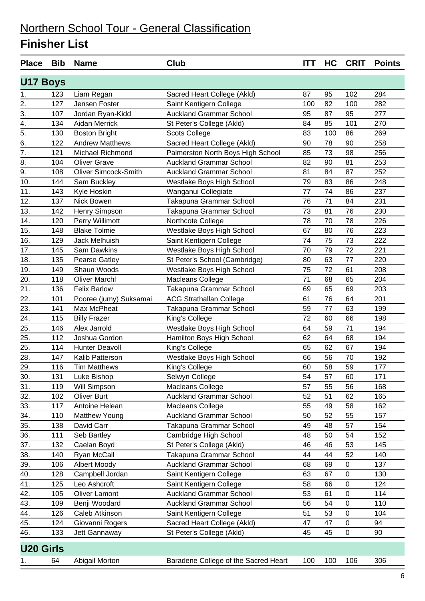| <b>Place</b>     | <b>Bib</b> | <b>Name</b>                 | <b>Club</b>                          | <b>ITT</b> | HC  | <b>CRIT</b> | <b>Points</b> |
|------------------|------------|-----------------------------|--------------------------------------|------------|-----|-------------|---------------|
| <b>U17 Boys</b>  |            |                             |                                      |            |     |             |               |
| 1.               | 123        | Liam Regan                  | Sacred Heart College (Akld)          | 87         | 95  | 102         | 284           |
| 2.               | 127        | Jensen Foster               | Saint Kentigern College              | 100        | 82  | 100         | 282           |
| 3.               | 107        | Jordan Ryan-Kidd            | <b>Auckland Grammar School</b>       | 95         | 87  | 95          | 277           |
| $\overline{4}$ . | 134        | <b>Aidan Merrick</b>        | St Peter's College (Akld)            | 84         | 85  | 101         | 270           |
| $\overline{5}$ . | 130        | <b>Boston Bright</b>        | <b>Scots College</b>                 | 83         | 100 | 86          | 269           |
| $\overline{6}$ . | 122        | <b>Andrew Matthews</b>      | Sacred Heart College (Akld)          | 90         | 78  | 90          | 258           |
| $\overline{7}$ . | 121        | Michael Richmond            | Palmerston North Boys High School    | 85         | 73  | 98          | 256           |
| 8.               | 104        | <b>Oliver Grave</b>         | <b>Auckland Grammar School</b>       | 82         | 90  | 81          | 253           |
| 9.               | 108        | <b>Oliver Simcock-Smith</b> | <b>Auckland Grammar School</b>       | 81         | 84  | 87          | 252           |
| 10.              | 144        | Sam Buckley                 | Westlake Boys High School            | 79         | 83  | 86          | 248           |
| 11.              | 143        | Kyle Hoskin                 | Wanganui Collegiate                  | 77         | 74  | 86          | 237           |
| 12.              | 137        | Nick Bowen                  | Takapuna Grammar School              | 76         | 71  | 84          | 231           |
| 13.              | 142        | Henry Simpson               | Takapuna Grammar School              | 73         | 81  | 76          | 230           |
| 14.              | 120        | Perry Willimott             | Northcote College                    | 78         | 70  | 78          | 226           |
| 15.              | 148        | <b>Blake Tolmie</b>         | Westlake Boys High School            | 67         | 80  | 76          | 223           |
| 16.              | 129        | Jack Melhuish               | Saint Kentigern College              | 74         | 75  | 73          | 222           |
| 17.              | 145        | Sam Dawkins                 | Westlake Boys High School            | 70         | 79  | 72          | 221           |
| 18.              | 135        | Pearse Gatley               | St Peter's School (Cambridge)        | 80         | 63  | 77          | 220           |
| 19.              | 149        | Shaun Woods                 | Westlake Boys High School            | 75         | 72  | 61          | 208           |
| 20.              | 118        | <b>Oliver Marchl</b>        | Macleans College                     | 71         | 68  | 65          | 204           |
| 21.              | 136        | <b>Felix Barlow</b>         | Takapuna Grammar School              | 69         | 65  | 69          | 203           |
| 22.              | 101        | Pooree (jumy) Suksamai      | <b>ACG Strathallan College</b>       | 61         | 76  | 64          | 201           |
| 23.              | 141        | Max McPheat                 | Takapuna Grammar School              | 59         | 77  | 63          | 199           |
| 24.              | 115        | <b>Billy Frazer</b>         | King's College                       | 72         | 60  | 66          | 198           |
| 25.              | 146        | Alex Jarrold                | Westlake Boys High School            | 64         | 59  | 71          | 194           |
| 25.              | 112        | Joshua Gordon               | Hamilton Boys High School            | 62         | 64  | 68          | 194           |
| 25.              | 114        | <b>Hunter Deavoll</b>       | King's College                       | 65         | 62  | 67          | 194           |
| 28.              | 147        | Kalib Patterson             | Westlake Boys High School            | 66         | 56  | 70          | 192           |
| 29.              | 116        | <b>Tim Matthews</b>         | King's College                       | 60         | 58  | 59          | 177           |
| 30.              | 131        | Luke Bishop                 | Selwyn College                       | 54         | 57  | 60          | 171           |
| 31.              | 119        | Will Simpson                | Macleans College                     | 57         | 55  | 56          | 168           |
| 32.              | 102        | Oliver Burt                 | <b>Auckland Grammar School</b>       | 52         | 51  | 62          | 165           |
| 33.              | 117        | Antoine Helean              | Macleans College                     | 55         | 49  | 58          | 162           |
| 34.              | 110        | Matthew Young               | <b>Auckland Grammar School</b>       | 50         | 52  | 55          | 157           |
| 35.              | 138        | David Carr                  | Takapuna Grammar School              | 49         | 48  | 57          | 154           |
| 36.              | 111        | Seb Bartley                 | Cambridge High School                | 48         | 50  | 54          | 152           |
| 37.              | 132        | Caelan Boyd                 | St Peter's College (Akld)            | 46         | 46  | 53          | 145           |
| 38.              | 140        | Ryan McCall                 | Takapuna Grammar School              | 44         | 44  | 52          | 140           |
| 39.              | 106        | <b>Albert Moody</b>         | <b>Auckland Grammar School</b>       | 68         | 69  | $\pmb{0}$   | 137           |
| 40.              | 128        | Campbell Jordan             | Saint Kentigern College              | 63         | 67  | $\pmb{0}$   | 130           |
| 41.              | 125        | Leo Ashcroft                | Saint Kentigern College              | 58         | 66  | 0           | 124           |
| 42.              | 105        | <b>Oliver Lamont</b>        | <b>Auckland Grammar School</b>       | 53         | 61  | $\pmb{0}$   | 114           |
| 43.              | 109        | Benji Woodard               | <b>Auckland Grammar School</b>       | 56         | 54  | 0           | 110           |
| 44.              | 126        | Caleb Atkinson              | Saint Kentigern College              | 51         | 53  | $\pmb{0}$   | 104           |
| 45.              | 124        | Giovanni Rogers             | Sacred Heart College (Akld)          | 47         | 47  | 0           | 94            |
| 46.              | 133        | Jett Gannaway               | St Peter's College (Akld)            | 45         | 45  | $\pmb{0}$   | 90            |
| <b>U20 Girls</b> |            |                             |                                      |            |     |             |               |
| 1.               | 64         | Abigail Morton              | Baradene College of the Sacred Heart | 100        | 100 | 106         | 306           |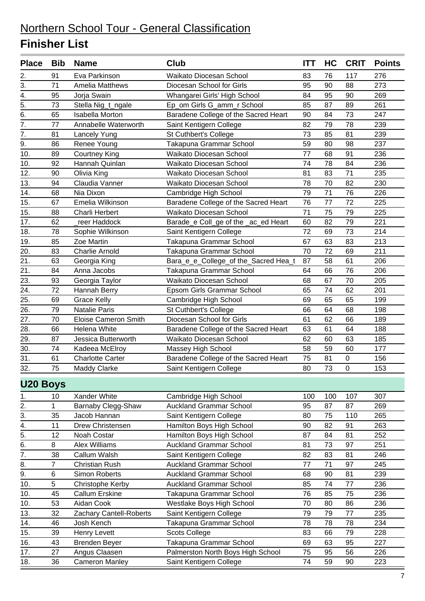### Northern School Tour - General Classification **Finisher List**

| <b>Place</b>     | <b>Bib</b> | <b>Name</b>                 | Club                                 | ITT | HC  | <b>CRIT</b> | <b>Points</b> |
|------------------|------------|-----------------------------|--------------------------------------|-----|-----|-------------|---------------|
| 2.               | 91         | Eva Parkinson               | Waikato Diocesan School              | 83  | 76  | 117         | 276           |
| 3.               | 71         | <b>Amelia Matthews</b>      | Diocesan School for Girls            | 95  | 90  | 88          | 273           |
| $\overline{4}$ . | 95         | Jorja Swain                 | Whangarei Girls' High School         | 84  | 95  | 90          | 269           |
| 5.               | 73         | Stella Nig_t_ngale          | Ep_om Girls G_amm_r School           | 85  | 87  | 89          | 261           |
| 6.               | 65         | <b>Isabella Morton</b>      | Baradene College of the Sacred Heart | 90  | 84  | 73          | 247           |
| $\overline{7}$ . | 77         | Annabelle Waterworth        | Saint Kentigern College              | 82  | 79  | 78          | 239           |
| 7.               | 81         | Lancely Yung                | St Cuthbert's College                | 73  | 85  | 81          | 239           |
| 9.               | 86         | Renee Young                 | Takapuna Grammar School              | 59  | 80  | 98          | 237           |
| 10.              | 89         | <b>Courtney King</b>        | Waikato Diocesan School              | 77  | 68  | 91          | 236           |
| 10.              | 92         | Hannah Quinlan              | Waikato Diocesan School              | 74  | 78  | 84          | 236           |
| 12.              | 90         | Olivia King                 | Waikato Diocesan School              | 81  | 83  | 71          | 235           |
| 13.              | 94         | Claudia Vanner              | Waikato Diocesan School              | 78  | 70  | 82          | 230           |
| 14.              | 68         | Nia Dixon                   | Cambridge High School                | 79  | 71  | 76          | 226           |
| 15.              | 67         | Emelia Wilkinson            | Baradene College of the Sacred Heart | 76  | 77  | 72          | 225           |
| 15.              | 88         | <b>Charli Herbert</b>       | <b>Waikato Diocesan School</b>       | 71  | 75  | 79          | 225           |
| 17.              | 62         | reer Haddock                | Barade_e Coll_ge of the _ac_ed Heart | 60  | 82  | 79          | 221           |
| 18.              | 78         | Sophie Wilkinson            | Saint Kentigern College              | 72  | 69  | 73          | 214           |
| 19.              | 85         | Zoe Martin                  | Takapuna Grammar School              | 67  | 63  | 83          | 213           |
| 20.              | 83         | <b>Charlie Arnold</b>       | Takapuna Grammar School              | 70  | 72  | 69          | 211           |
| 21.              | 63         | Georgia King                | Bara_e_e_College_of the_Sacred Hea_t | 87  | 58  | 61          | 206           |
| 21.              | 84         | Anna Jacobs                 | Takapuna Grammar School              | 64  | 66  | 76          | 206           |
| 23.              | 93         | Georgia Taylor              | <b>Waikato Diocesan School</b>       | 68  | 67  | 70          | 205           |
| 24.              | 72         | Hannah Berry                | Epsom Girls Grammar School           | 65  | 74  | 62          | 201           |
| 25.              | 69         | <b>Grace Kelly</b>          | Cambridge High School                | 69  | 65  | 65          | 199           |
| 26.              | 79         | <b>Natalie Paris</b>        | St Cuthbert's College                | 66  | 64  | 68          | 198           |
| 27.              | 70         | <b>Eloise Cameron Smith</b> | Diocesan School for Girls            | 61  | 62  | 66          | 189           |
| 28.              | 66         | Helena White                | Baradene College of the Sacred Heart | 63  | 61  | 64          | 188           |
| 29.              | 87         | Jessica Butterworth         | Waikato Diocesan School              | 62  | 60  | 63          | 185           |
| 30.              | 74         | Kadeea McElroy              | Massey High School                   | 58  | 59  | 60          | 177           |
| 31.              | 61         | <b>Charlotte Carter</b>     | Baradene College of the Sacred Heart | 75  | 81  | $\pmb{0}$   | 156           |
| 32.              | 75         | <b>Maddy Clarke</b>         | Saint Kentigern College              | 80  | 73  | 0           | 153           |
| <b>U20 Boys</b>  |            |                             |                                      |     |     |             |               |
| 1.               | 10         | Xander White                | Cambridge High School                | 100 | 100 | 107         | 307           |
| 2.               | 1          | Barnaby Clegg-Shaw          | <b>Auckland Grammar School</b>       | 95  | 87  | 87          | 269           |
| 3.               | 35         | Jacob Hannan                | Saint Kentigern College              | 80  | 75  | 110         | 265           |
| 4.               | 11         | Drew Christensen            | Hamilton Boys High School            | 90  | 82  | 91          | 263           |
| 5.               | 12         | Noah Costar                 | Hamilton Boys High School            | 87  | 84  | 81          | 252           |
| 6.               | 8          | Alex Williams               | <b>Auckland Grammar School</b>       | 81  | 73  | 97          | 251           |
| 7.               | 38         | Callum Walsh                | Saint Kentigern College              | 82  | 83  | 81          | 246           |
| 8.               | 7          | <b>Christian Rush</b>       | <b>Auckland Grammar School</b>       | 77  | 71  | 97          | 245           |
| 9.               | $\,6$      | Simon Roberts               | <b>Auckland Grammar School</b>       | 68  | 90  | 81          | 239           |
| 10.              | 5          | Christophe Kerby            | <b>Auckland Grammar School</b>       | 85  | 74  | 77          | 236           |
| 10.              | 45         | Callum Erskine              | Takapuna Grammar School              | 76  | 85  | 75          | 236           |
| 10.              | 53         | Aidan Cook                  | Westlake Boys High School            | 70  | 80  | 86          | 236           |
| 13.              | 32         | Zachary Cantell-Roberts     | Saint Kentigern College              | 79  | 79  | 77          | 235           |
| 14.              | 46         | Josh Kench                  | Takapuna Grammar School              | 78  | 78  | 78          | 234           |
| 15.              | 39         | Henry Levett                | <b>Scots College</b>                 | 83  | 66  | 79          | 228           |
| 16.              | 43         | <b>Brenden Beyer</b>        | Takapuna Grammar School              | 69  | 63  | 95          | 227           |
| 17.              | 27         | Angus Claasen               | Palmerston North Boys High School    | 75  | 95  | 56          | 226           |
| 18.              | 36         | <b>Cameron Manley</b>       | Saint Kentigern College              | 74  | 59  | 90          | 223           |
|                  |            |                             |                                      |     |     |             |               |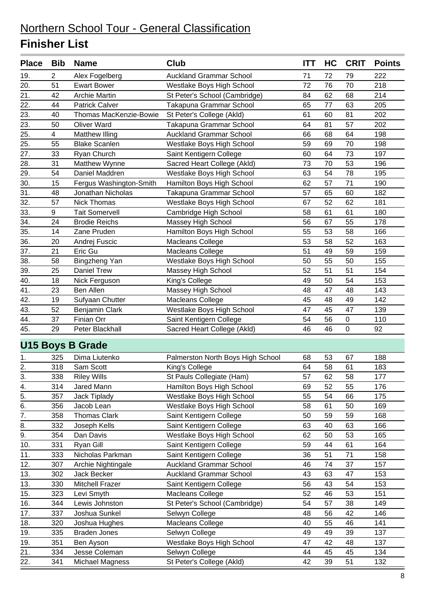### Northern School Tour - General Classification **Finisher List**

| <b>Place</b>      | <b>Bib</b>     | <b>Name</b>             | Club                              | <b>ITT</b> | HC | <b>CRIT</b> | <b>Points</b> |
|-------------------|----------------|-------------------------|-----------------------------------|------------|----|-------------|---------------|
| 19.               | 2              | Alex Fogelberg          | <b>Auckland Grammar School</b>    | 71         | 72 | 79          | 222           |
| 20.               | 51             | <b>Ewart Bower</b>      | Westlake Boys High School         | 72         | 76 | 70          | 218           |
| 21.               | 42             | <b>Archie Martin</b>    | St Peter's School (Cambridge)     | 84         | 62 | 68          | 214           |
| 22.               | 44             | <b>Patrick Calver</b>   | Takapuna Grammar School           | 65         | 77 | 63          | 205           |
| 23.               | 40             | Thomas MacKenzie-Bowie  | St Peter's College (Akld)         | 61         | 60 | 81          | 202           |
| $\overline{23}$ . | 50             | <b>Oliver Ward</b>      | Takapuna Grammar School           | 64         | 81 | 57          | 202           |
| 25.               | $\overline{4}$ | <b>Matthew Illing</b>   | <b>Auckland Grammar School</b>    | 66         | 68 | 64          | 198           |
| 25.               | 55             | <b>Blake Scanlen</b>    | Westlake Boys High School         | 59         | 69 | 70          | 198           |
| 27.               | 33             | Ryan Church             | Saint Kentigern College           | 60         | 64 | 73          | 197           |
| 28.               | 31             | Matthew Wynne           | Sacred Heart College (Akld)       | 73         | 70 | 53          | 196           |
| 29.               | 54             | Daniel Maddren          | Westlake Boys High School         | 63         | 54 | 78          | 195           |
| 30.               | 15             | Fergus Washington-Smith | Hamilton Boys High School         | 62         | 57 | 71          | 190           |
| 31.               | 48             | Jonathan Nicholas       | Takapuna Grammar School           | 57         | 65 | 60          | 182           |
| 32.               | 57             | Nick Thomas             | Westlake Boys High School         | 67         | 52 | 62          | 181           |
| 33.               | 9              | <b>Tait Somervell</b>   | Cambridge High School             | 58         | 61 | 61          | 180           |
| $\overline{34}$ . | 24             | <b>Brodie Reichs</b>    | Massey High School                | 56         | 67 | 55          | 178           |
| 35.               | 14             | Zane Pruden             | Hamilton Boys High School         | 55         | 53 | 58          | 166           |
| 36.               | 20             | Andrej Fuscic           | <b>Macleans College</b>           | 53         | 58 | 52          | 163           |
| 37.               | 21             | Eric Gu                 | Macleans College                  | 51         | 49 | 59          | 159           |
| 38.               | 58             | Bingzheng Yan           | Westlake Boys High School         | 50         | 55 | 50          | 155           |
| 39.               | 25             | <b>Daniel Trew</b>      | Massey High School                | 52         | 51 | 51          | 154           |
| 40.               | 18             | Nick Ferguson           | King's College                    | 49         | 50 | 54          | 153           |
| 41.               | 23             | Ben Allen               | Massey High School                | 48         | 47 | 48          | 143           |
| 42.               | 19             | Sufyaan Chutter         | Macleans College                  | 45         | 48 | 49          | 142           |
| 43.               | 52             | <b>Benjamin Clark</b>   | Westlake Boys High School         | 47         | 45 | 47          | 139           |
| 44.               | 37             | Finian Orr              | Saint Kentigern College           | 54         | 56 | 0           | 110           |
| 45.               | 29             | Peter Blackhall         | Sacred Heart College (Akld)       | 46         | 46 | $\mathbf 0$ | 92            |
|                   |                | <b>U15 Boys B Grade</b> |                                   |            |    |             |               |
| 1.                | 325            | Dima Liutenko           | Palmerston North Boys High School | 68         | 53 | 67          | 188           |
| 2.                | 318            | Sam Scott               | King's College                    | 64         | 58 | 61          | 183           |
| <u>3.</u>         | 338            | <b>Riley Wills</b>      | St Pauls Collegiate (Ham)         | 57         | 62 | 58          | 177           |
| 4.                | 314            | Jared Mann              | Hamilton Boys High School         | 69         | 52 | 55          | 176           |
| $\overline{5}$ .  | 357            | Jack Tiplady            | Westlake Boys High School         | 55         | 54 | 66          | 175           |
| $\overline{6}$ .  | 356            | Jacob Lean              | Westlake Boys High School         | 58         | 61 | 50          | 169           |
| 7.                | 358            | Thomas Clark            | Saint Kentigern College           | 50         | 59 | 59          | 168           |
| 8.                | 332            | Joseph Kells            | Saint Kentigern College           | 63         | 40 | 63          | 166           |
| 9.                | 354            | Dan Davis               | Westlake Boys High School         | 62         | 50 | 53          | 165           |
| 10.               | 331            | Ryan Gill               | Saint Kentigern College           | 59         | 44 | 61          | 164           |
| 11.               | 333            | Nicholas Parkman        | Saint Kentigern College           | 36         | 51 | 71          | 158           |
| 12.               | 307            | Archie Nightingale      | <b>Auckland Grammar School</b>    | 46         | 74 | 37          | 157           |
| 13.               | 302            | Jack Becker             | <b>Auckland Grammar School</b>    | 43         | 63 | 47          | 153           |
| 13.               | 330            | Mitchell Frazer         | Saint Kentigern College           | 56         | 43 | 54          | 153           |
| 15.               | 323            | Levi Smyth              | Macleans College                  | 52         | 46 | 53          | 151           |
| 16.               | 344            | Lewis Johnston          | St Peter's School (Cambridge)     | 54         | 57 | 38          | 149           |
| 17.               | 337            | Joshua Sunkel           | Selwyn College                    | 48         | 56 | 42          | 146           |
| 18.               | 320            | Joshua Hughes           | Macleans College                  | 40         | 55 | 46          | 141           |
| 19.               | 335            | <b>Braden Jones</b>     | Selwyn College                    | 49         | 49 | 39          | 137           |
| 19.               | 351            | Ben Ayson               | Westlake Boys High School         | 47         | 42 | 48          | 137           |
| 21.               | 334            | Jesse Coleman           | Selwyn College                    | 44         | 45 | 45          | 134           |
| 22.               | 341            | Michael Magness         | St Peter's College (Akld)         | 42         | 39 | 51          | 132           |